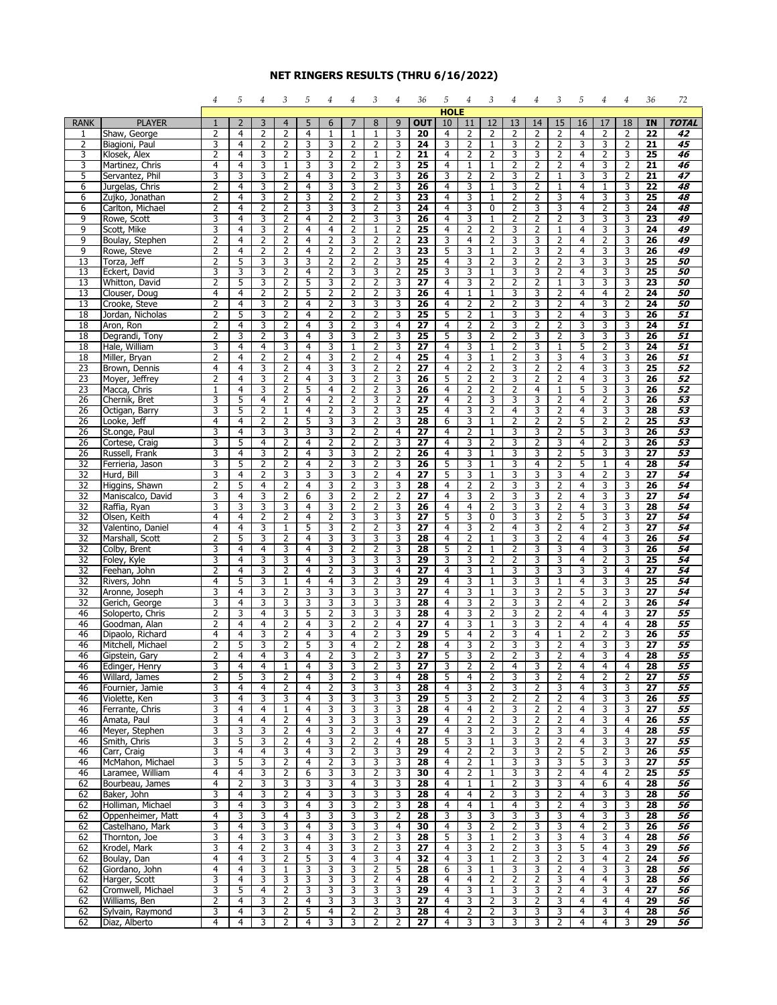## **NET RINGERS RESULTS (THRU 6/16/2022)**

|                  |                                    | 4                 | 5                   | 4              | 3                                | 5                                | 4                 | 4                                | 3                   | $\overline{4}$      | 36                    | 5                   | 4                   | 3                                | 4                   | 4                                | 3                                | 5                   | 4            | 4                   | 36                    | 72                    |
|------------------|------------------------------------|-------------------|---------------------|----------------|----------------------------------|----------------------------------|-------------------|----------------------------------|---------------------|---------------------|-----------------------|---------------------|---------------------|----------------------------------|---------------------|----------------------------------|----------------------------------|---------------------|--------------|---------------------|-----------------------|-----------------------|
|                  |                                    |                   |                     |                |                                  |                                  |                   |                                  |                     |                     |                       | <b>HOLE</b>         |                     |                                  |                     |                                  |                                  |                     |              |                     |                       |                       |
| <b>RANK</b><br>1 | <b>PLAYER</b><br>Shaw, George      | $\mathbf{1}$<br>2 | $\overline{2}$<br>4 | 3<br>2         | $\overline{4}$<br>2              | 5<br>4                           | 6<br>$\mathbf{1}$ | 7<br>$\mathbf{1}$                | 8<br>$\mathbf{1}$   | 9<br>3              | <b>OUT</b><br>20      | 10<br>4             | 11<br>2             | 12<br>2                          | 13<br>2             | 14<br>2                          | 15<br>2                          | 16<br>4             | 17<br>2      | 18<br>2             | IN<br>22              | <b>TOTAL</b><br>42    |
| 2                | Biagioni, Paul                     | 3                 | 4                   | 2              | 2                                | 3                                | 3                 | 2                                | $\overline{2}$      | 3                   | 24                    | 3                   | 2                   | $\mathbf{1}$                     | 3                   | 2                                | $\overline{2}$                   | 3                   | 3            | 2                   | $\overline{21}$       | 45                    |
| 3                | Klosek, Alex                       | 2                 | 4                   | 3              | $\overline{2}$                   | 3                                | 2                 | $\overline{2}$                   | $\mathbf{1}$        | 2                   | 21                    | 4                   | 2                   | $\overline{2}$                   | 3                   | 3                                | $\overline{2}$                   | 4                   | 2            | 3                   | 25                    | 46                    |
| 3                | Martinez, Chris                    | 4                 | 4                   | 3              | $\mathbf{1}$                     | 3                                | 3                 | $\overline{2}$                   | 2                   | 3                   | 25                    | $\overline{4}$      | 1                   | 1                                | $\overline{2}$      | $\overline{2}$                   | $\overline{2}$                   | $\overline{4}$      | 3            | $\overline{2}$      | 21                    | 46                    |
| 5                | Servantez, Phil                    | 3                 | 3                   | 3              | $\overline{2}$                   | $\overline{4}$                   | 3                 | 2                                | 3                   | 3                   | 26                    | 3                   | $\overline{2}$      | $\overline{2}$                   | 3                   | $\overline{2}$                   | $\mathbf{1}$                     | 3                   | 3            | $\overline{2}$      | 21                    | 47                    |
| 6                | Jurgelas, Chris                    | 2                 | 4                   | 3              | 2                                | 4                                | 3                 | 3                                | 2                   | 3                   | 26                    | 4                   | 3                   | $\mathbf{1}$                     | 3                   | 2                                | $\mathbf{1}$                     | 4                   | $\mathbf{1}$ | 3                   | 22                    | 48                    |
| 6                | Zujko, Jonathan                    | 2                 | 4                   | 3              | $\overline{2}$                   | 3                                | 2                 | $\overline{2}$                   | 2                   | 3                   | 23                    | 4                   | 3                   | $\mathbf{1}$                     | 2                   | 2                                | 3                                | $\overline{4}$      | 3            | 3                   | 25                    | 48                    |
| 6                | Carlton, Michael                   | 2                 | 4                   | $\overline{2}$ | $\overline{2}$                   | 3                                | 3                 | 3                                | 2                   | 3                   | $\overline{24}$       | $\overline{4}$      | 3                   | $\overline{0}$                   | $\overline{2}$      | 3                                | 3                                | $\overline{4}$      | 2            | 3                   | 24                    | 48                    |
| 9<br>9           | Rowe, Scott<br>Scott, Mike         | 3<br>3            | 4<br>4              | 3<br>3         | $\overline{2}$<br>$\overline{2}$ | $\overline{4}$                   | 2<br>4            | $\overline{2}$<br>2              | 3                   | 3                   | 26<br>$\overline{25}$ | $\overline{4}$<br>4 | 3<br>$\overline{2}$ | $\mathbf{1}$<br>$\overline{2}$   | $\overline{2}$<br>3 | $\overline{2}$<br>$\overline{2}$ | $\overline{2}$                   | 3<br>$\overline{4}$ | 3<br>3       | $\overline{3}$<br>3 | 23<br>24              | 49<br>49              |
| 9                | Boulay, Stephen                    | 2                 | 4                   | 2              | 2                                | 4<br>4                           | 2                 | 3                                | $\mathbf{1}$<br>2   | 2<br>2              | 23                    | 3                   | 4                   | $\overline{2}$                   | 3                   | 3                                | 1<br>$\overline{2}$              | 4                   | 2            | 3                   | 26                    | 49                    |
| 9                | Rowe, Steve                        | 2                 | 4                   | 2              | $\overline{2}$                   | 4                                | 2                 | 2                                | $\overline{2}$      | 3                   | 23                    | 5                   | 3                   | $\mathbf{1}$                     | 2                   | 3                                | $\overline{2}$                   | $\overline{4}$      | 3            | 3                   | 26                    | 49                    |
| 13               | Torza, Jeff                        | 2                 | 5                   | 3              | 3                                | 3                                | 2                 | 2                                | $\overline{2}$      | 3                   | 25                    | 4                   | 3                   | $\overline{2}$                   | 3                   | 2                                | $\overline{2}$                   | 3                   | 3            | 3                   | 25                    | 50                    |
| 13               | Eckert, David                      | 3                 | 3                   | 3              | $\overline{2}$                   | $\overline{4}$                   | 2                 | $\overline{3}$                   | 3                   | $\overline{2}$      | 25                    | 3                   | 3                   | $\mathbf{1}$                     | 3                   | 3                                | $\overline{2}$                   | $\overline{4}$      | 3            | $\overline{3}$      | 25                    | 50                    |
| 13               | Whitton, David                     | 2                 | 5                   | 3              | $\overline{2}$                   | 5                                | 3                 | 2                                | $\overline{2}$      | 3                   | $\overline{27}$       | 4                   | 3                   | $\overline{2}$                   | 2                   | $\overline{2}$                   | $\mathbf{1}$                     | 3                   | 3            | 3                   | 23                    | 50                    |
| 13               | Clouser, Doug                      | 4                 | 4                   | 2              | 2                                | 5                                | 2                 | 2                                | 2                   | 3                   | 26                    | 4                   | $\mathbf{1}$        | $\mathbf{1}$                     | 3                   | 3                                | $\overline{2}$                   | 4                   | 4            | 2                   | 24                    | 50                    |
| 13               | Crooke, Steve                      | 2                 | 4                   | 3              | $\overline{2}$                   | 4                                | 2                 | 3                                | 3                   | 3                   | 26                    | 4                   | 2                   | $\overline{2}$                   | $\overline{2}$      | 3                                | $\overline{2}$                   | $\overline{4}$      | 3            | 2                   | 24                    | 50                    |
| 18<br>18         | Jordan, Nicholas<br>Aron, Ron      | 2<br>2            | 5<br>4              | 3<br>3         | $\overline{2}$<br>$\overline{2}$ | $\overline{4}$<br>$\overline{4}$ | 2<br>3            | $\overline{2}$<br>$\overline{2}$ | $\overline{2}$<br>3 | 3<br>$\overline{4}$ | 25<br>$\overline{27}$ | 5<br>4              | 2<br>$\overline{2}$ | $\overline{1}$<br>$\overline{2}$ | 3<br>3              | 3<br>$\overline{2}$              | $\overline{2}$<br>$\overline{2}$ | $\overline{4}$<br>3 | 3<br>3       | 3<br>3              | 26<br>24              | 51<br>51              |
| 18               | Degrandi, Tony                     | 2                 | 3                   | $\overline{2}$ | 3                                | 4                                | 3                 | 3                                | $\overline{2}$      | 3                   | $\overline{25}$       | 5                   | 3                   | $\overline{2}$                   | 2                   | 3                                | $\overline{2}$                   | 3                   | 3            | 3                   | 26                    | $\overline{51}$       |
| 18               | Hale, William                      | 3                 | 4                   | 4              | 3                                | 4                                | 3                 | 1                                | 2                   | 3                   | 27                    | 4                   | 3                   | $\mathbf{1}$                     | 2                   | 3                                | 1                                | 5                   | 2            | 3                   | 24                    | 51                    |
| 18               | Miller, Bryan                      | 2                 | 4                   | 2              | $\overline{2}$                   | 4                                | 3                 | $\overline{2}$                   | 2                   | 4                   | 25                    | 4                   | 3                   | $\mathbf{1}$                     | 2                   | 3                                | 3                                | 4                   | 3            | 3                   | 26                    | 51                    |
| 23               | Brown, Dennis                      | 4                 | 4                   | 3              | $\overline{2}$                   | 4                                | 3                 | 3                                | 2                   | 2                   | 27                    | $\overline{4}$      | 2                   | $\overline{2}$                   | 3                   | $\overline{2}$                   | $\overline{2}$                   | $\overline{4}$      | 3            | 3                   | 25                    | 52                    |
| 23               | Moyer, Jeffrey                     | 2                 | 4                   | 3              | $\overline{2}$                   | $\overline{4}$                   | 3                 | $\overline{3}$                   | 2                   | 3                   | 26                    | 5                   | $\overline{2}$      | $\overline{2}$                   | 3                   | $\overline{2}$                   | $\overline{2}$                   | $\overline{4}$      | 3            | 3                   | 26                    | 52                    |
| $\overline{23}$  | Macca, Chris                       | 1                 | 4                   | 3              | $\overline{2}$                   | 5                                | 4                 | $\overline{2}$                   | $\overline{2}$      | 3                   | $\overline{26}$       | 4                   | 2                   | 2                                | 2                   | 4                                | 1                                | 5                   | 3            | 3                   | 26                    | 52                    |
| 26               | Chernik, Bret                      | 3                 | 5                   | 4              | 2                                | 4                                | 2                 | 2                                | 3                   | 2                   | 27                    | 4                   | 2                   | 3                                | 3                   | 3                                | $\overline{2}$                   | 4                   | 2            | 3                   | 26                    | 53                    |
| 26<br>26         | Octigan, Barry<br>Looke, Jeff      | 3<br>4            | 5<br>4              | 2<br>2         | $\mathbf{1}$<br>$\overline{2}$   | $\overline{4}$<br>5              | 2<br>3            | 3<br>3                           | 2<br>$\overline{2}$ | 3<br>3              | $\overline{25}$<br>28 | 4<br>6              | 3<br>3              | $\overline{2}$<br>$\mathbf{1}$   | 4<br>2              | 3<br>$\overline{2}$              | $\overline{2}$<br>$\overline{2}$ | $\overline{4}$<br>5 | 3<br>2       | 3<br>$\overline{2}$ | 28<br>$\overline{25}$ | $\overline{53}$<br>53 |
| 26               | St.onge, Paul                      | 3                 | 4                   | 3              | 3                                | 3                                | 3                 | $\overline{2}$                   | 2                   | 4                   | 27                    | 4                   | $\overline{2}$      | $\mathbf{1}$                     | 3                   | 3                                | $\overline{2}$                   | 5                   | 3            | 3                   | 26                    | 53                    |
| $\overline{26}$  | Cortese, Craig                     | 3                 | 5                   | $\overline{4}$ | $\overline{2}$                   | $\overline{4}$                   | $\overline{2}$    | 2                                | $\overline{2}$      | 3                   | 27                    | 4                   | 3                   | $\overline{2}$                   | 3                   | $\overline{2}$                   | 3                                | $\overline{4}$      | 2            | 3                   | 26                    | $\overline{53}$       |
| 26               | Russell, Frank                     | 3                 | 4                   | 3              | 2                                | 4                                | 3                 | 3                                | 2                   | 2                   | 26                    | 4                   | 3                   | $\mathbf{1}$                     | 3                   | 3                                | 2                                | 5                   | 3            | 3                   | 27                    | 53                    |
| 32               | Ferrieria, Jason                   | 3                 | 5                   | 2              | $\overline{2}$                   | 4                                | 2                 | 3                                | 2                   | 3                   | 26                    | 5                   | 3                   | $\mathbf{1}$                     | 3                   | 4                                | 2                                | 5                   | $\mathbf{1}$ | 4                   | 28                    | 54                    |
| 32               | Hurd, Bill                         | 3                 | 4                   | 2              | 3                                | 3                                | 3                 | 3                                | 2                   | 4                   | 27                    | 5                   | 3                   | $\overline{1}$                   | 3                   | 3                                | 3                                | $\overline{4}$      | 2            | 3                   | $\overline{27}$       | 54                    |
| 32               | Higgins, Shawn                     | 2                 | 5                   | $\overline{4}$ | $\overline{2}$                   | $\overline{4}$                   | 3                 | $\overline{2}$                   | 3                   | 3                   | 28                    | $\overline{4}$      | $\overline{2}$      | $\overline{2}$                   | 3                   | 3                                | $\overline{2}$                   | $\overline{4}$      | 3            | $\overline{3}$      | 26                    | 54                    |
| 32               | Maniscalco, David                  | 3                 | 4                   | 3              | $\overline{2}$                   | 6                                | 3                 | 2                                | $\overline{2}$      | 2                   | $\overline{27}$       | 4                   | 3                   | $\overline{2}$                   | 3                   | 3                                | $\overline{2}$                   | $\overline{4}$      | 3            | 3                   | 27                    | 54                    |
| 32<br>32         | Raffia, Ryan<br>Olsen, Keith       | 3<br>4            | 3<br>4              | 3<br>2         | 3<br>$\overline{2}$              | 4<br>$\overline{4}$              | 3<br>2            | 2<br>3                           | 2<br>3              | 3<br>3              | 26<br>27              | 4<br>5              | 4<br>3              | $\overline{2}$<br>$\mathbf 0$    | 3<br>3              | 3<br>3                           | 2<br>$\overline{2}$              | 4<br>5              | 3<br>3       | 3<br>3              | 28<br>27              | 54<br>54              |
| 32               | Valentino, Daniel                  | 4                 | 4                   | 3              | $\mathbf{1}$                     | 5                                | 3                 | $\overline{2}$                   | $\overline{2}$      | 3                   | 27                    | 4                   | 3                   | $\overline{2}$                   | 4                   | 3                                | $\overline{2}$                   | $\overline{4}$      | 2            | 3                   | 27                    | 54                    |
| 32               | Marshall, Scott                    | 2                 | 5                   | 3              | $\overline{2}$                   | $\overline{4}$                   | 3                 | $\overline{3}$                   | 3                   | 3                   | 28                    | 4                   | $\overline{2}$      | 1                                | 3                   | 3                                | $\overline{2}$                   | $\overline{4}$      | 4            | $\overline{3}$      | 26                    | 54                    |
| 32               | Colby, Brent                       | 3                 | 4                   | $\overline{4}$ | 3                                | 4                                | 3                 | $\overline{2}$                   | 2                   | 3                   | 28                    | 5                   | 2                   | $\mathbf{1}$                     | 2                   | 3                                | 3                                | 4                   | 3            | 3                   | $\overline{26}$       | 54                    |
| 32               | Foley, Kyle                        | 3                 | 4                   | 3              | 3                                | 4                                | 3                 | 3                                | 3                   | 3                   | 29                    | 3                   | 3                   | $\overline{2}$                   | 2                   | 3                                | 3                                | 4                   | 2            | 3                   | 25                    | 54                    |
| 32               | Feehan, John                       | 2                 | 4                   | 3              | $\overline{2}$                   | 4                                | 2                 | 3                                | 3                   | 4                   | 27                    | 4                   | 3                   | 1                                | 3                   | 3                                | 3                                | 3                   | 3            | 4                   | 27                    | 54                    |
| 32               | Rivers, John                       | 4                 | 5                   | 3              | $\mathbf{1}$                     | $\overline{4}$                   | 4                 | 3                                | 2                   | 3                   | 29                    | $\overline{4}$      | 3                   | $\overline{1}$                   | 3                   | 3                                | $\mathbf{1}$                     | $\overline{4}$      | 3            | 3                   | $\overline{25}$       | 54                    |
| 32<br>32         | Aronne, Joseph                     | 3<br>3            | 4<br>4              | 3<br>3         | $\overline{2}$                   | 3                                | 3                 | $\overline{3}$<br>3              | 3                   | 3                   | 27<br>28              | $\overline{4}$      | 3<br>3              | 1                                | 3<br>3              | 3<br>3                           | $\overline{2}$                   | 5                   | 3            | $\overline{3}$<br>3 | 27<br>$\overline{26}$ | 54<br>54              |
| 46               | Gerich, George<br>Soloperto, Chris | 2                 | 3                   | 4              | 3<br>3                           | 3<br>5                           | 3<br>2            | 3                                | 3<br>3              | 3<br>3              | 28                    | 4<br>4              | 3                   | $\overline{2}$<br>$\overline{2}$ | 3                   | 2                                | $\overline{2}$<br>2              | 4<br>4              | 2<br>4       | 3                   | 27                    | $\overline{55}$       |
| 46               | Goodman, Alan                      | 2                 | 4                   | 4              | $\overline{2}$                   | 4                                | 3                 | $\overline{2}$                   | 2                   | 4                   | 27                    | 4                   | 3                   | 1                                | 3                   | 3                                | 2                                | $\overline{4}$      | 4            | 4                   | 28                    | 55                    |
| 46               | Dipaolo, Richard                   | 4                 | 4                   | 3              | $\overline{2}$                   | 4                                | 3                 | 4                                | 2                   | 3                   | 29                    | 5                   | 4                   | $\overline{2}$                   | 3                   | 4                                | $\mathbf{1}$                     | $\overline{2}$      | 2            | 3                   | 26                    | 55                    |
| 46               | Mitchell, Michael                  | 2                 | 5                   | 3              | $\overline{2}$                   | 5                                | 3                 | $\overline{4}$                   | 2                   | 2                   | 28                    | $\overline{4}$      | 3                   | $\overline{2}$                   | 3                   | 3                                | $\overline{2}$                   | 4                   | 3            | $\overline{3}$      | 27                    | 55                    |
| 46               | Gipstein, Gary                     | 2                 | 4                   | $\overline{4}$ | 3                                | $\overline{4}$                   | 2                 | 3                                | $\overline{2}$      | 3                   | $\overline{27}$       | 5                   | 3                   | $\overline{2}$                   | $\overline{2}$      | 3                                | $\overline{2}$                   | $\overline{4}$      | 3            | $\overline{4}$      | 28                    | 55                    |
| 46               | Edinger, Henry                     | 3                 | 4                   | 4              | 1                                | 4                                | 3                 | 3                                | 2                   | 3                   | 27                    | 3                   | 2                   | 2                                | 4                   | 3                                | 2                                | 4                   | 4            | 4                   | 28                    | 55                    |
| 46               | Willard, James                     | 2                 | 5                   | 3              | 2                                | 4                                | 3                 | 2                                | 3                   | 4                   | 28                    | 5                   | 4                   | 2                                | 3                   | 3                                | 2                                | 4                   | 2            | $\overline{2}$      | 27                    | 55                    |
| 46<br>46         | Fournier, Jamie<br>Violette, Ken   | 3<br>3            | 4<br>4              | 4<br>3         | 2<br>3                           | 4<br>4                           | 2<br>3            | 3<br>3                           | 3<br>3              | 3<br>3              | 28<br>29              | 4<br>5              | 3<br>3              | $\overline{2}$<br>$\overline{2}$ | 3<br>2              | 2<br>2                           | 3<br>2                           | 4<br>4              | 3<br>3       | 3<br>3              | 27<br>26              | 55<br>55              |
| 46               | Ferrante, Chris                    | 3                 | 4                   | 4              | 1                                | 4                                | 3                 | 3                                | 3                   | 3                   | 28                    | 4                   | 4                   | 2                                | 3                   | 2                                | 2                                | 4                   | 3            | 3                   | 27                    | 55                    |
| 46               | Amata, Paul                        | 3                 | 4                   | 4              | 2                                | $\overline{4}$                   | 3                 | 3                                | 3                   | 3                   | 29                    | $\overline{4}$      | 2                   | 2                                | 3                   | 2                                | 2                                | 4                   | 3            | $\overline{4}$      | 26                    | 55                    |
| 46               | Meyer, Stephen                     | 3                 | 3                   | 3              | 2                                | 4                                | 3                 | 2                                | 3                   | 4                   | 27                    | 4                   | 3                   | 2                                | 3                   | 2                                | 3                                | 4                   | 3            | 4                   | 28                    | 55                    |
| 46               | Smith, Chris                       | 3                 | 5                   | 3              | 2                                | 4                                | 3                 | 2                                | 2                   | 4                   | 28                    | 5                   | 3                   | $\mathbf{1}$                     | 3                   | 3                                | 2                                | 4                   | 3            | 3                   | 27                    | 55                    |
| 46               | Carr, Craig                        | 3                 | 4                   | 4              | 3                                | 4                                | 3                 | 2                                | 3                   | 3                   | 29                    | $\overline{4}$      | 2                   | $\overline{2}$                   | 3                   | 3                                | 2                                | 5                   | 2            | 3                   | 26                    | 55                    |
| 46               | McMahon, Michael                   | 3                 | 5                   | 3              | 2                                | 4                                | 2                 | 3                                | 3                   | 3                   | 28                    | 4                   | 2                   | $\mathbf{1}$                     | 3                   | 3                                | 3                                | 5                   | 3            | 3                   | 27                    | 55                    |
| 46               | Laramee, William                   | 4                 | 4                   | 3              | $\overline{2}$                   | 6                                | 3                 | 3                                | 2                   | 3                   | 30                    | 4                   | 2                   | $\mathbf{1}$                     | 3                   | 3                                | $\overline{2}$                   | $\overline{4}$      | 4            | $\overline{2}$      | 25                    | 55                    |
| 62<br>62         | Bourbeau, James<br>Baker, John     | 4<br>3            | 2<br>4              | 3<br>3         | 3<br>2                           | 3<br>4                           | 3<br>3            | 4<br>3                           | 3<br>3              | 3<br>3              | 28<br>28              | 4<br>4              | 1<br>4              | $\mathbf{1}$<br>$\overline{2}$   | 2<br>3              | 3<br>3                           | 3<br>2                           | 4<br>4              | 6<br>3       | 4<br>3              | 28<br>28              | 56<br>56              |
| 62               | Holliman, Michael                  | 3                 | 4                   | 3              | 3                                | 4                                | 3                 | 3                                | 2                   | 3                   | 28                    | 4                   | 4                   | $\mathbf{1}$                     | 4                   | 3                                | 2                                | 4                   | 3            | $\overline{3}$      | 28                    | 56                    |
| 62               | Oppenheimer, Matt                  | 4                 | 3                   | 3              | 4                                | 3                                | 3                 | 3                                | 3                   | 2                   | 28                    | 3                   | 3                   | 3                                | 3                   | 3                                | 3                                | 4                   | 3            | 3                   | 28                    | 56                    |
| 62               | Castelhano, Mark                   | 3                 | 4                   | 3              | 3                                | $\overline{4}$                   | 3                 | 3                                | 3                   | 4                   | 30                    | 4                   | 3                   | $\overline{2}$                   | 2                   | 3                                | 3                                | 4                   | 2            | 3                   | 26                    | 56                    |
| 62               | Thornton, Joe                      | 3                 | 4                   | 3              | 3                                | 4                                | 3                 | 3                                | 2                   | 3                   | 28                    | 5                   | 3                   | 1                                | 2                   | 3                                | 3                                | 4                   | 3            | 4                   | 28                    | 56                    |
| 62               | Krodel, Mark                       | 3                 | 4                   | 2              | 3                                | 4                                | 3                 | 3                                | 2                   | 3                   | 27                    | 4                   | 3                   | $\overline{2}$                   | 2                   | 3                                | 3                                | 5                   | 4            | 3                   | 29                    | 56                    |
| 62               | Boulay, Dan                        | $\overline{4}$    | 4                   | 3              | $\overline{2}$                   | 5                                | 3                 | 4                                | 3                   | 4                   | 32                    | 4                   | 3                   | 1                                | 2                   | 3                                | 2                                | 3                   | 4            | $\overline{2}$      | 24                    | 56                    |
| 62               | Giordano, John                     | 4                 | 4                   | 3              | 1                                | 3                                | 3                 | 3                                | 2                   | 5                   | 28                    | 6                   | 3                   | $\mathbf{1}$                     | 3                   | 3                                | 2                                | 4                   | 3            | 3                   | 28                    | 56                    |
| 62<br>62         | Harger, Scott<br>Cromwell, Michael | 3<br>3            | 4<br>5              | 3<br>4         | 3<br>2                           | 3<br>3                           | 3<br>3            | 3<br>3                           | 2<br>3              | 4<br>3              | 28<br>29              | 4<br>4              | 4<br>3              | $\overline{2}$<br>1              | 2<br>3              | 2<br>3                           | 3<br>2                           | 4<br>4              | 4<br>3       | 3<br>4              | 28<br>27              | 56<br>56              |
| 62               | Williams, Ben                      | 2                 | 4                   | 3              | 2                                | $\overline{4}$                   | 3                 | 3                                | 3                   | 3                   | 27                    | 4                   | 3                   | $\overline{2}$                   | 3                   | 2                                | 3                                | $\overline{4}$      | 4            | 4                   | 29                    | 56                    |
| 62               | Sylvain, Raymond                   | 3                 | 4                   | 3              | 2                                | 5                                | 4                 | $\overline{2}$                   | 2                   | 3                   | 28                    | 4                   | 2                   | $\overline{2}$                   | 3                   | 3                                | 3                                | 4                   | 3            | $\overline{4}$      | 28                    | 56                    |
| 62               | Diaz, Alberto                      | 4                 | 4                   | 3              | 2                                | $\overline{4}$                   | 3                 | 3                                | 2                   | 2                   | 27                    | 4                   | 3                   | 3                                | 3                   | 3                                | 2                                | $\overline{4}$      | 4            | 3                   | 29                    | 56                    |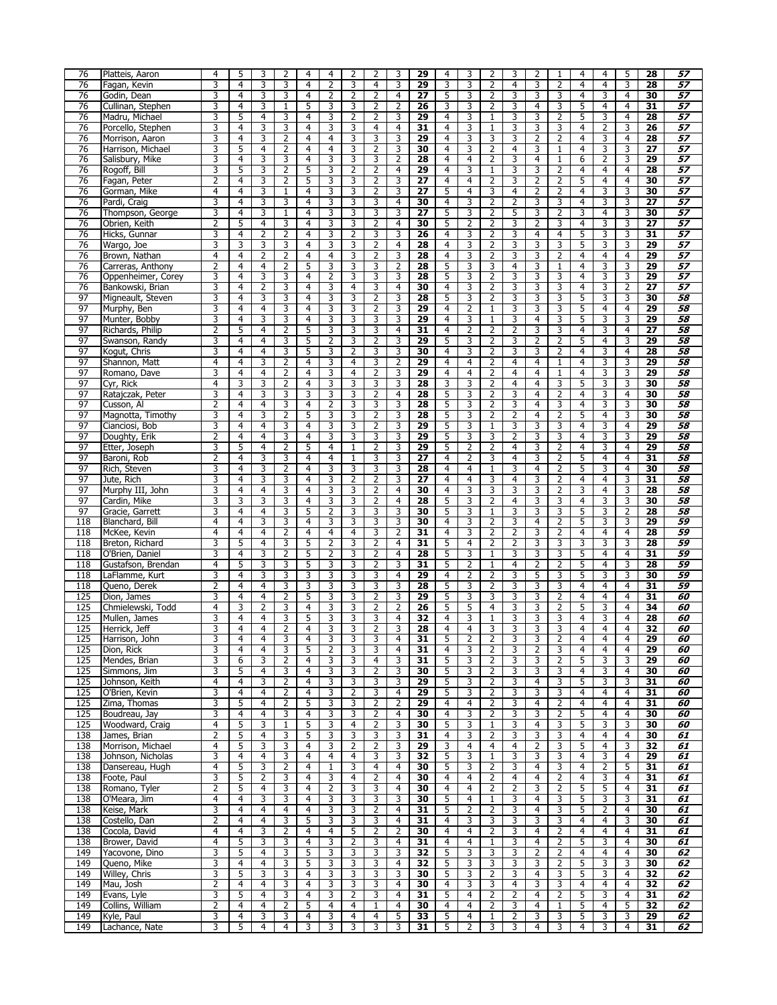| 76         | Platteis, Aaron              | 4              | 5      | 3              | 2              | 4              | 4              | 2              | 2              | 3              | 29              | 4              | 3              | $\overline{2}$    | 3              | 2              | $\mathbf{1}$            | 4              | 4              | 5              | $\overline{28}$ | 57              |
|------------|------------------------------|----------------|--------|----------------|----------------|----------------|----------------|----------------|----------------|----------------|-----------------|----------------|----------------|-------------------|----------------|----------------|-------------------------|----------------|----------------|----------------|-----------------|-----------------|
| 76         | Fagan, Kevin                 | 3              | 4      | 3              | 3              | 4              | 2              | 3              | 4              | 3              | 29              | 3              | 3              | $\overline{2}$    | 4              | 3              | 2                       | 4              | 4              | 3              | 28              | 57              |
| 76         | Godin, Dean                  | 3              | 4      | 3              | 3              | $\overline{4}$ | 2              | $\overline{2}$ | $\overline{2}$ | $\overline{4}$ | $\overline{27}$ | 5              | 3              | $\overline{2}$    | 3              | 3              | 3                       | 4              | 3              | $\overline{4}$ | 30              | 57              |
| 76         | Cullinan, Stephen            | 3              | 4      | 3              | 1              | 5              | 3              | 3              | 2              | 2              | 26              | 3              | 3              | 2                 | 3              | $\overline{4}$ | 3                       | 5              | 4              | $\overline{4}$ | 31              | 57              |
| 76         | Madru, Michael               | 3              | 5      | 4              | 3              | 4              | 3              | $\overline{2}$ | 2              | 3              | 29              | $\overline{4}$ | 3              | $\mathbf{1}$      | 3              | 3              | 2                       | 5              | 3              | 4              | 28              | 57              |
| 76         | Porcello, Stephen            | 3              | 4      | 3              | 3              | 4              | 3              | 3              | 4              | 4              | 31              | 4              | 3              | $\mathbf{1}$      | 3              | 3              | 3                       | 4              | 2              | 3              | 26              | $\overline{57}$ |
| 76         | Morrison, Aaron              | 3              | 4      | 3              | 2              | 4              | 4              | 3              | 3              | 3              | 29              | 4              | 3              | 3                 | 3              | 2              | 2                       | 4              | 3              | 4              | 28              | 57              |
| 76         | Harrison, Michael            | 3              | 5      | $\overline{4}$ | $\overline{2}$ | 4              | $\overline{4}$ | 3              | 2              | 3              | 30              | 4              | 3              | $\overline{2}$    | 4              | 3              | $\mathbf{1}$            | 4              | 3              | 3              | 27              | 57              |
| 76         | Salisbury, Mike              | 3              | 4      | 3              | 3              | 4              | 3              | 3              | 3              | 2              | 28              | 4              | 4              | 2                 | 3              | 4              | 1                       | 6              | 2              | 3              | 29              | 57              |
| 76         | Rogoff, Bill                 | 3              | 5      | 3              | $\overline{2}$ | 5              | 3              | 2              | 2              | 4              | 29              | 4              | 3              | $\mathbf 1$       | 3              | 3              | 2                       | 4              | 4              | 4              | 28              | 57              |
| 76         | Fagan, Peter                 | 2              | 4      | 3              | 2              | 5              | 3              | 3              | 2              | 3              | 27              | 4              | 4              | $\overline{2}$    | 3              | 2              | 2                       | 5              | 4              | 4              | 30              | 57              |
| 76         | Gorman, Mike                 | 4              | 4      | 3              | $\mathbf{1}$   | 4              | 3              | 3              | 2              | 3              | 27              | 5              | 4              | 3                 | 4              | 2              | 2                       | 4              | 3              | 3              | 30              | 57              |
| 76         | Pardi, Craig                 | 3              | 4      | 3              | 3              | 4              | 3              | 3              | 3              | $\overline{4}$ | 30              | 4              | 3              | $\overline{2}$    | 2              | 3              | 3                       | 4              | 3              | 3              | 27              | 57              |
| 76         | Thompson, George             | 3              | 4      | 3              | $\mathbf{1}$   | 4              | 3              | 3              | 3              | 3              | 27              | 5              | 3              | 2                 | 5              | 3              | 2                       | 3              | 4              | 3              | 30              | 57              |
| 76         | Obrien, Keith                | 2              | 5      | 4              | 3              | 4              | 3              | 3              | 2              | 4              | 30              | 5              | 2              | $\overline{2}$    | 3              | 2              | 3                       | 4              | 3              | 3              | $\overline{27}$ | 57              |
| 76         | Hicks, Gunnar                | 3              | 4      | 2              | 2              | 4              | 3              | 2              | 3              | 3              | 26              | 4              | 3              | $\overline{2}$    | 3              | 4              | 4                       | 5              | 3              | 3              | 31              | 57              |
| 76         | Wargo, Joe                   | 3              | 3      | 3              | 3              | 4              | 3              | 3              | 2              | 4              | 28              | 4              | 3              | $\overline{2}$    | 3              | 3              | 3                       | 5              | 3              | 3              | 29              | 57              |
| 76         | Brown, Nathan                | $\overline{4}$ | 4      | 2              | $\overline{2}$ | 4              | $\overline{4}$ | 3              | 2              | 3              | 28              | $\overline{4}$ | 3              | $\overline{2}$    | 3              | 3              | $\overline{2}$          | 4              | 4              | $\overline{4}$ | 29              | 57              |
| 76         | Carreras, Anthony            | 2              | 4      | 4              | $\overline{2}$ | 5              | 3              | 3              | 3              | 2              | 28              | 5              | 3              | 3                 | 4              | 3              | 1                       | 4              | 3              | 3              | 29              | 57              |
| 76         | Oppenheimer, Corey           | 3              | 4      | 3              | 3              | 4              | 2              | 3              | 3              | 3              | 28              | 5              | 3              | $\overline{2}$    | 3              | 3              | 3                       | $\overline{4}$ | 3              | 3              | 29              | 57              |
| 76         |                              | 3              | 4      | 2              | 3              | 4              | 3              | 4              | 3              | 4              | 30              | 4              | 3              | $\overline{2}$    | 3              | 3              | 3                       | 4              | 3              | 2              | $\overline{27}$ | $\overline{57}$ |
| 97         | Bankowski, Brian             | 3              | 4      | 3              | 3              |                | 3              | 3              | 2              | 3              | 28              | 5              | 3              |                   | 3              | 3              | 3                       | 5              | 3              | 3              | 30              | 58              |
| 97         | Migneault, Steven            | 3              | 4      | $\overline{4}$ | 3              | 4              | 3              | 3              |                |                | 29              |                | $\overline{2}$ | 2                 | 3              | 3              | 3                       | 5              | $\overline{4}$ | $\overline{4}$ | 29              | 58              |
|            | Murphy, Ben                  |                |        |                |                | 4              |                |                | $\overline{2}$ | 3              |                 | 4              |                | $\mathbf{1}$      |                |                |                         |                |                |                |                 |                 |
| 97         | Munter, Bobby                | 3              | 4      | 3              | 3              | 4              | 3              | 3              | 3              | 3              | 29              | 4              | 3              | $\mathbf{1}$      | 3              | 4              | 3                       | 5              | 3              | 3              | 29              | 58              |
| 97         | Richards, Philip             | 2              | 5      | 4              | 2              | 5              | 3              | 3              | 3              | 4              | $\overline{31}$ | 4              | 2              | $\overline{2}$    | 2              | 3              | 3                       | 4              | 3              | 4              | 27              | 58              |
| 97         | Swanson, Randy               | 3              | 4      | 4              | 3              | 5              | $\overline{2}$ | 3              | 2              | 3              | 29              | 5              | 3              | $\overline{2}$    | 3              | 2              | 2                       | 5              | 4              | 3              | 29              | 58              |
| 97         | Kogut, Chris                 | 3              | 4      | 4              | 3              | 5              | 3              | 2              | 3              | 3              | 30              | 4              | 3              | $\overline{2}$    | 3              | 3              | 2                       | 4              | 3              | 4              | 28              | 58              |
| 97         | Shannon, Matt                | $\overline{4}$ | 4      | 3              | $\overline{2}$ | 4              | 3              | $\overline{4}$ | 3              | $\overline{2}$ | 29              | 4              | 4              | $\overline{2}$    | 4              | $\overline{4}$ | $\mathbf{1}$            | 4              | 3              | 3              | 29              | 58              |
| 97         | Romano, Dave                 | 3              | 4      | 4              | 2              | 4              | 3              | 4              | 2              | 3              | 29              | 4              | 4              | $\overline{2}$    | 4              | 4              | $\mathbf{1}$            | 4              | 3              | 3              | 29              | 58              |
| 97         | Cyr, Rick                    | 4              | 3      | 3              | 2              | 4              | 3              | 3              | 3              | 3              | 28              | 3              | 3              | $\overline{2}$    | 4              | 4              | 3                       | 5              | 3              | 3              | 30              | 58              |
| 97         | Ratajczak, Peter             | 3              | 4      | 3              | 3              | 3              | 3              | 3              | 2              | 4              | 28              | 5              | 3              | $\overline{2}$    | 3              | 4              | 2                       | 4              | 3              | 4              | 30              | 58              |
| 97         | Cusson, Al                   | 2              | 4      | 4              | 3              | 4              | 2              | 3              | 3              | 3              | 28              | 5              | 3              | $\overline{2}$    | 3              | 4              | 3                       | 4              | 3              | 3              | 30              | 58              |
| 97         | Magnotta, Timothy            | 3              | 4      | 3              | $\overline{2}$ | 5              | 3              | 3              | $\overline{2}$ | 3              | 28              | 5              | 3              | $\overline{2}$    | $\overline{2}$ | $\overline{4}$ | $\overline{2}$          | 5              | 4              | $\overline{3}$ | 30              | 58              |
| 97         | Cianciosi, Bob               | 3              | 4      | 4              | 3              | 4              | 3              | 3              | $\overline{2}$ | 3              | 29              | 5              | 3              | $\mathbf{1}$      | 3              | 3              | 3                       | 4              | 3              | 4              | 29              | 58              |
| 97         | Doughty, Erik                | 2              | 4      | 4              | 3              | 4              | 3              | 3              | 3              | 3              | 29              | 5              | 3              | 3                 | 2              | 3              | 3                       | 4              | 3              | 3              | 29              | 58              |
| 97         | Etter, Joseph                | 3              | 5      | 4              | 2              | 5              | 4              | $\mathbf{1}$   | 2              | 3              | 29              | 5              | 2              | $\overline{2}$    | 4              | 3              | 2                       | 4              | 3              | 4              | 29              | 58              |
| 97         | Baroni, Rob                  | 2              | 4      | 3              | 3              | 4              | 4              | 1              | 3              | 3              | 27              | 4              | 2              | 3                 | 4              | 3              | 2                       | 5              | 4              | 4              | 31              | 58              |
| 97         | Rich, Steven                 | 3              | 4      | 3              | $\overline{2}$ | 4              | 3              | 3              | 3              | 3              | 28              | 4              | 4              | $\mathbf{1}$      | 3              | $\overline{4}$ | $\overline{2}$          | 5              | 3              | $\overline{4}$ | 30              | 58              |
| 97         | Jute, Rich                   | 3              | 4      | 3              | 3              | 4              | 3              | 2              | $\overline{2}$ | 3              | 27              | $\overline{4}$ | 4              | 3                 | 4              | 3              | 2                       | 4              | 4              | 3              | 31              | 58              |
| 97         | Murphy III, John             | 3              | 4      | 4              | 3              | 4              | 3              | 3              | 2              | 4              | 30              | 4              | 3              | 3                 | 3              | 3              | 2                       | 3              | 4              | 3              | 28              | 58              |
| 97         | Cardin, Mike                 | 3              | 3      | 3              | 3              | 4              | 3              | 3              | 2              | 4              | 28              | 5              | 3              | $\overline{2}$    | 4              | 3              | 3                       | 4              | 3              | 3              | 30              | 58              |
| 97         | Gracie, Garrett              | 3              | 4      | 4              | 3              | 5              | 2              | 3              | 3              | 3              | 30              | 5              | 3              | $\mathbf{1}$      | 3              | 3              | 3                       | 5              | 3              | $\overline{2}$ | 28              | 58              |
| 118        | Blanchard, Bill              | 4              | 4      | 3              | 3              | 4              | 3              | 3              | 3              | 3              | 30              | 4              | 3              | $\overline{2}$    | 3              | $\overline{4}$ | $\overline{2}$          | 5              | 3              | $\overline{3}$ | 29              | 59              |
| 118        | McKee, Kevin                 | $\overline{4}$ | 4      | 4              | 2              | 4              | 4              | $\overline{4}$ | 3              | 2              | 31              | 4              | 3              | 2                 | 2              | 3              | 2                       | 4              | 4              | $\overline{4}$ | 28              | 59              |
| 118        | Breton, Richard              | 3              | 5      | 4              | 3              | 5              | 2              | 3              | 2              | 4              | $\overline{31}$ | 5              | 4              | $\overline{2}$    | 2              | 3              | 3                       | 3              | 3              | 3              | 28              | 59              |
| 118        | O'Brien, Daniel              | 3              | 4      | 3              | 2              | 5              | 2              | 3              | 2              | 4              | 28              | 5              | 3              | $\mathbf{1}$      | 3              | 3              | 3                       | 5              | 4              | 4              | 31              | 59              |
| 118        | Gustafson, Brendan           | 4              | 5      | 3              | 3              | 5              | 3              | 3              | 2              | 3              | 31              | 5              | 2              | $\mathbf{1}$      | 4              | 2              | 2                       | 5              | 4              | 3              | 28              | 59              |
| 118        | LaFlamme, Kurt               | 3              | 4      | 3              | 3              | 3              | 3              | 3              | 3              | $\overline{4}$ | 29              | $\overline{4}$ | 2              | $\overline{2}$    | 3              | 5              | 3                       | 5              | 3              | 3              | 30              | 59              |
| 118        | Queno, Derek                 | 2              | 4      | 4              | 3              | 3              | 3              | 3              | 3              | 3              | 28              | 5              | 3              | $\overline{2}$    | 3              | 3              | 3                       | 4              | 4              | $\overline{4}$ | 31              | 59              |
| 125        | Dion, James                  | 3              | 4      | 4              | $\overline{2}$ | 5              | 3              | 3              | 2              | 3              | 29              | 5              | 3              | 3                 | 3              | 3              | 2                       | 4              | 4              | 4              | 31              | 60              |
| 125        | Chmielewski, Todd            | 4              | 3      | 2              | 3              | 4              | 3              | 3              | 2              | 2              | 26              | 5              | 5              | 4                 | 3              | 3              | 2                       | 5              | 3              | 4              | 34              | 60              |
| 125        | Mullen, James                | 3              | 4      | 4              | 3              | 5              | 3              | 3              | 3              | 4              | 32              | 4              | 3              | $\mathbf{1}$      | 3              | 3              | 3                       | 4              | 3              | 4              | 28              | 60              |
| 125        | Herrick, Jeff                | 3              | 4      | $\overline{4}$ | $\overline{2}$ | 4              | 3              | 3              | $\overline{2}$ | 3              | 28              | $\overline{4}$ | 4              | 3                 | 3              | 3              | $\overline{\mathbf{3}}$ | 4              | $\overline{4}$ | $\overline{4}$ | 32              | 60              |
|            |                              |                |        |                |                |                |                |                |                |                |                 |                |                |                   |                |                |                         |                |                |                |                 |                 |
| 125        | Harrison, John               | 3              | 4      | 4              | 3              | 4              | 3              | 3              | 3              | 4              | 31              | 5              | 2              | 2                 | 3              | 3              | 2                       | 4              | 4              | 4              | 29              | 60              |
| 125        | Dion, Rick                   | 3              | 4      | 4              | 3              | 5              | 2              | 3              | 3              | 4              | 31              | 4              | 3              | 2                 | 3              | 2              | 3                       | 4              | 4              | 4              | 29              | 60              |
| 125        | Mendes, Brian                | 3              | 6      | 3              | $\overline{2}$ | 4              | 3              | 3              | 4              | 3              | 31              | 5              | 3              | $\overline{2}$    | 3              | 3              | 2                       | 5              | 3              | 3              | $\overline{29}$ | 60              |
| 125        | Simmons, Jim                 | 3              | 5      | 4              | 3              | 4              | 3              | 3              | 2              | 3              | 30              | 5              | 3              | 2                 | 3              | 3              | 3                       | 4              | 3              | $\overline{4}$ | 30              | 60              |
| 125        | Johnson, Keith               | $\overline{4}$ | 4      | 3              | $\overline{2}$ | 4              | 3              | $\overline{3}$ | 3              | 3              | 29              | 5              | 3              | $\overline{2}$    | 3              | $\overline{4}$ | 3                       | 5              | 3              | 3              | 31              | 60              |
| 125        | O'Brien, Kevin               | 3              | 4      | 4              | 2              | 4              | 3              | 2              | 3              | 4              | 29              | 5              | 3              | 2                 | 3              | 3              | 3                       | 4              | 4              | 4              | 31              | 60              |
| 125        | Zima, Thomas                 | 3              | 5      | 4              | 2              | 5              | 3              | 3              | 2              | 2              | 29              | 4              | 4              | 2                 | 3              | 4              | 2                       | 4              | 4              | 4              | 31              | 60              |
| 125        | Boudreau, Jay                | 3              | 4      | 4              | 3              | 4              | 3              | 3              | $\overline{2}$ | 4              | 30              | 4              | 3              | $\overline{2}$    | 3              | 3              | 2                       | 5              | 4              | 4              | 30              | 60              |
| 125        | Woodward, Craig              | 4              | 5      | 3              | 1              | 5              | 3              | 4              | 2              | 3              | 30              | 5              | 3              | $\mathbf{1}$      | 3              | 4              | 3                       | 5              | 3              | 3              | 30              | 60              |
| 138        | James, Brian                 | 2              | 5      | 4              | 3              | 5              | 3              | 3              | 3              | 3              | 31              | 4              | 3              | $\overline{2}$    | 3              | 3              | 3                       | 4              | 4              | 4              | 30              | 61              |
| 138        | Morrison, Michael            | $\overline{4}$ | 5      | 3              | 3              | 4              | 3              | 2              | 2              | 3              | 29              | 3              | 4              | 4                 | 4              | 2              | 3                       | 5              | 4              | 3              | 32              | 61              |
| 138        | Johnson, Nicholas            | 3              | 4      | 4              | 3              | 4              | 4              | $\overline{4}$ | 3              | 3              | 32              | 5              | 3              | $\mathbf{1}$      | 3              | 3              | 3                       | 4              | 3              | 4              | 29              | 61              |
| 138        | Dansereau, Hugh              | 4              | 5      | 3              | $\overline{2}$ | 4              | 1              | 3              | 4              | 4              | 30              | 5              | 3              | $\overline{2}$    | 3              | 4              | 3                       | 4              | 2              | 5              | 31              | 61              |
| 138        | Foote, Paul                  | 3              | 5      | 2              | 3              | 4              | 3              | 4              | 2              | 4              | 30              | 4              | 4              | 2                 | 4              | 4              | 2                       | 4              | 3              | 4              | 31              | 61              |
| 138        | Romano, Tyler                | $\overline{2}$ | 5      | 4              | 3              | 4              | $\overline{2}$ | 3              | 3              | 4              | 30              | 4              | 4              | $\overline{2}$    | $\overline{2}$ | 3              | $\overline{2}$          | 5              | 5              | 4              | 31              | 61              |
| 138        | O'Meara, Jim                 | $\overline{4}$ | 4      | 3              | 3              | 4              | 3              | 3              | 3              | 3              | 30              | 5              | 4              | $\mathbf{1}$      | 3              | 4              | 3                       | 5              | 3              | 3              | 31              | 61              |
| 138        | Keise, Mark                  | 3              | 4      | 4              | $\overline{4}$ | 4              | 3              | 3              | 2              | 4              | 31              | 5              | 2              | 2                 | 3              | 4              | 3                       | 5              | 2              | 4              | 30              | 61              |
| 138        | Costello, Dan                | 2              | 4      | 4              | 3              | 5              | 3              | 3              | 3              | 4              | 31              | 4              | 3              | 3                 | 3              | 3              | 3                       | 4              | 4              | 3              | 30              | 61              |
| 138        | Cocola, David                | 4              | 4      | 3              | $\overline{2}$ | 4              | 4              | 5              | $\overline{2}$ | 2              | 30              | 4              | 4              | $\overline{2}$    | 3              | 4              | 2                       | 4              | 4              | 4              | 31              | 61              |
| 138        | Brower, David                | 4              | 5      | 3              | 3              | 4              | 3              | $\overline{2}$ | 3              | 4              | 31              | 4              | 4              | 1                 | 3              | 4              | $\overline{2}$          | 5              | 3              | 4              | 30              | 61              |
|            |                              |                | 5      | 4              | 3              | 5              | 3              | 3              | 3              | 3              | 32              | 5              | 3              | 3                 | 3              | 2              | 2                       | 4              | 4              | 4              | 30              | 62              |
|            |                              |                |        |                |                |                |                |                |                |                | 32              | 5              |                |                   |                |                |                         |                |                |                |                 |                 |
| 149        | Yacovone, Dino               | 3              |        |                |                |                |                |                |                |                |                 |                |                |                   |                |                |                         |                |                |                |                 |                 |
| 149        | Queno, Mike                  | 3              | 4      | 4              | 3              | 5              | 3              | 3              | 3              | 4              |                 |                | 3              | 3                 | 3              | 3              | 2                       | 5              | 3              | 3              | 30              | 62              |
| 149        | Willey, Chris                | 3              | 5      | 3              | 3              | 4              | 3              | 3              | 3              | 3              | 30              | 5              | 3              | 2                 | 3              | 4              | 3                       | 5              | 3              | 4              | 32              | 62              |
| 149        | Mau, Josh                    | 2              | 4      | 4              | 3              | 4              | 3              | 3              | 3              | 4              | 30              | 4              | 3              | 3                 | 4              | 3              | 3                       | 4              | 4              | 4              | 32              | 62              |
| 149        | Evans, Lyle                  | 3              | 5      | 4              | 3              | 4              | 3              | $\overline{2}$ | 3              | 4              | 31              | 5              | 4              | 2                 | 2              | 4              | $\overline{2}$          | 5              | 3              | 4              | 31              | 62              |
| 149        | Collins, William             | 2              | 4      | 4              | 2              | 5              | 4              | 4              | $\mathbf{1}$   | 4              | 30              | 4              | 4              | 2                 | 3              | 4              | 1                       | 5              | 4              | 5              | 32              | 62              |
| 149<br>149 | Kyle, Paul<br>Lachance, Nate | 3<br>3         | 4<br>5 | 3<br>4         | 3<br>4         | 4<br>3         | 3<br>3         | 4<br>3         | 4<br>3         | 5<br>3         | 33<br>31        | 5<br>5         | 4<br>2         | $\mathbf{1}$<br>3 | 2<br>3         | 3<br>4         | 3<br>3                  | 5<br>4         | 3<br>3         | 3<br>4         | 29<br>31        | 62<br>62        |